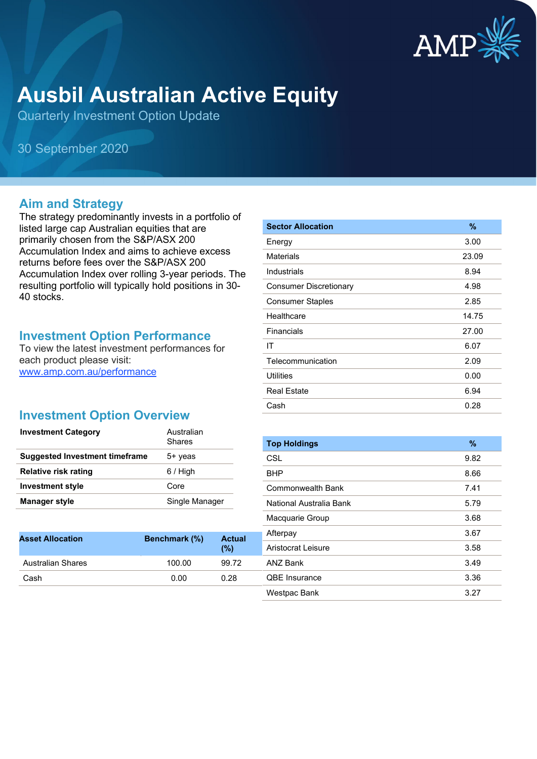

# **Ausbil Australian Active Equity**

Quarterly Investment Option Update

30 September 2020

#### **Aim and Strategy**

The strategy predominantly invests in a portfolio of listed large cap Australian equities that are primarily chosen from the S&P/ASX 200 Accumulation Index and aims to achieve excess returns before fees over the S&P/ASX 200 Accumulation Index over rolling 3-year periods. The resulting portfolio will typically hold positions in 30- 40 stocks.

#### **Investment Option Performance**

To view the latest investment performances for each product please visit: [www.amp.com.au/performance](https://www.amp.com.au/performance)

## **Investment Option Overview**

| <b>Investment Category</b>            | Australian<br>Shares |
|---------------------------------------|----------------------|
| <b>Suggested Investment timeframe</b> | 5+ yeas              |
| <b>Relative risk rating</b>           | $6/$ High            |
| <b>Investment style</b>               | Core                 |
| <b>Manager style</b>                  | Single Manager       |

| <b>Asset Allocation</b> | Benchmark (%) | <b>Actual</b><br>(%) |
|-------------------------|---------------|----------------------|
| Australian Shares       | 100.00        | 99.72                |
| Cash                    | 0.00          | 0.28                 |
|                         |               |                      |

| <b>Sector Allocation</b>      | %     |
|-------------------------------|-------|
| Energy                        | 3.00  |
| Materials                     | 23.09 |
| Industrials                   | 8.94  |
| <b>Consumer Discretionary</b> | 4.98  |
| <b>Consumer Staples</b>       | 2.85  |
| Healthcare                    | 14.75 |
| Financials                    | 27.00 |
| IT                            | 6.07  |
| Telecommunication             | 2.09  |
| <b>Utilities</b>              | 0.00  |
| <b>Real Estate</b>            | 6.94  |
| Cash                          | 0.28  |

| <b>Top Holdings</b>     | $\%$ |
|-------------------------|------|
| CSL                     | 9.82 |
| BHP                     | 8.66 |
| Commonwealth Bank       | 7.41 |
| National Australia Bank | 5.79 |
| Macquarie Group         | 3.68 |
| Afterpay                | 3.67 |
| Aristocrat Leisure      | 3.58 |
| ANZ Bank                | 3.49 |
| <b>QBE</b> Insurance    | 3.36 |
| Westpac Bank            | 3.27 |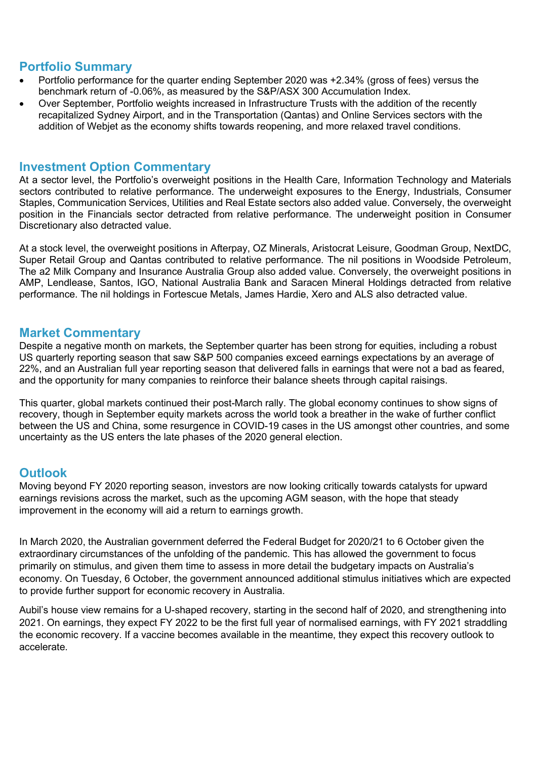## **Portfolio Summary**

- Portfolio performance for the quarter ending September 2020 was +2.34% (gross of fees) versus the benchmark return of -0.06%, as measured by the S&P/ASX 300 Accumulation Index.
- Over September, Portfolio weights increased in Infrastructure Trusts with the addition of the recently recapitalized Sydney Airport, and in the Transportation (Qantas) and Online Services sectors with the addition of Webjet as the economy shifts towards reopening, and more relaxed travel conditions.

#### **Investment Option Commentary**

At a sector level, the Portfolio's overweight positions in the Health Care, Information Technology and Materials sectors contributed to relative performance. The underweight exposures to the Energy, Industrials, Consumer Staples, Communication Services, Utilities and Real Estate sectors also added value. Conversely, the overweight position in the Financials sector detracted from relative performance. The underweight position in Consumer Discretionary also detracted value.

At a stock level, the overweight positions in Afterpay, OZ Minerals, Aristocrat Leisure, Goodman Group, NextDC, Super Retail Group and Qantas contributed to relative performance. The nil positions in Woodside Petroleum, The a2 Milk Company and Insurance Australia Group also added value. Conversely, the overweight positions in AMP, Lendlease, Santos, IGO, National Australia Bank and Saracen Mineral Holdings detracted from relative performance. The nil holdings in Fortescue Metals, James Hardie, Xero and ALS also detracted value.

#### **Market Commentary**

Despite a negative month on markets, the September quarter has been strong for equities, including a robust US quarterly reporting season that saw S&P 500 companies exceed earnings expectations by an average of 22%, and an Australian full year reporting season that delivered falls in earnings that were not a bad as feared, and the opportunity for many companies to reinforce their balance sheets through capital raisings.

This quarter, global markets continued their post-March rally. The global economy continues to show signs of recovery, though in September equity markets across the world took a breather in the wake of further conflict between the US and China, some resurgence in COVID-19 cases in the US amongst other countries, and some uncertainty as the US enters the late phases of the 2020 general election.

### **Outlook**

Moving beyond FY 2020 reporting season, investors are now looking critically towards catalysts for upward earnings revisions across the market, such as the upcoming AGM season, with the hope that steady improvement in the economy will aid a return to earnings growth.

In March 2020, the Australian government deferred the Federal Budget for 2020/21 to 6 October given the extraordinary circumstances of the unfolding of the pandemic. This has allowed the government to focus primarily on stimulus, and given them time to assess in more detail the budgetary impacts on Australia's economy. On Tuesday, 6 October, the government announced additional stimulus initiatives which are expected to provide further support for economic recovery in Australia.

Aubil's house view remains for a U-shaped recovery, starting in the second half of 2020, and strengthening into 2021. On earnings, they expect FY 2022 to be the first full year of normalised earnings, with FY 2021 straddling the economic recovery. If a vaccine becomes available in the meantime, they expect this recovery outlook to accelerate.